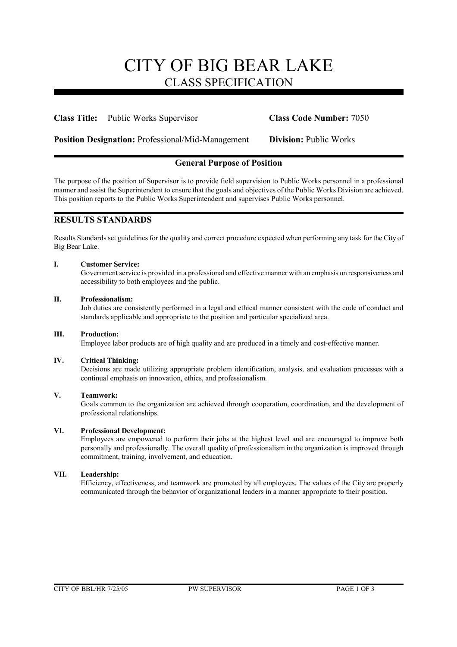# CITY OF BIG BEAR LAKE CLASS SPECIFICATION

### **Class Title:** Public Works Supervisor **Class Code Number:** 7050

**Position Designation:** Professional/Mid-Management **Division:** Public Works

# **General Purpose of Position**

The purpose of the position of Supervisor is to provide field supervision to Public Works personnel in a professional manner and assist the Superintendent to ensure that the goals and objectives of the Public Works Division are achieved. This position reports to the Public Works Superintendent and supervises Public Works personnel.

# **RESULTS STANDARDS**

Results Standards set guidelines for the quality and correct procedure expected when performing any task for the City of Big Bear Lake.

### **I. Customer Service:**

Government service is provided in a professional and effective manner with an emphasis on responsiveness and accessibility to both employees and the public.

### **II. Professionalism:**

Job duties are consistently performed in a legal and ethical manner consistent with the code of conduct and standards applicable and appropriate to the position and particular specialized area.

### **III. Production:**

Employee labor products are of high quality and are produced in a timely and cost-effective manner.

### **IV. Critical Thinking:**

Decisions are made utilizing appropriate problem identification, analysis, and evaluation processes with a continual emphasis on innovation, ethics, and professionalism.

### **V. Teamwork:**

Goals common to the organization are achieved through cooperation, coordination, and the development of professional relationships.

### **VI. Professional Development:**

Employees are empowered to perform their jobs at the highest level and are encouraged to improve both personally and professionally. The overall quality of professionalism in the organization is improved through commitment, training, involvement, and education.

### **VII. Leadership:**

Efficiency, effectiveness, and teamwork are promoted by all employees. The values of the City are properly communicated through the behavior of organizational leaders in a manner appropriate to their position.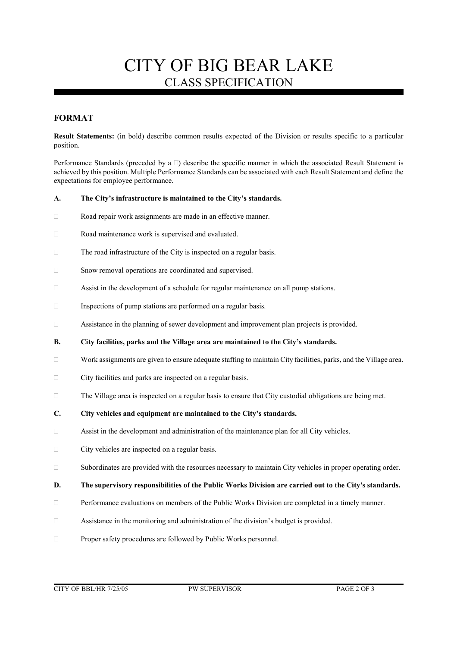# CITY OF BIG BEAR LAKE CLASS SPECIFICATION

# **FORMAT**

**Result Statements:** (in bold) describe common results expected of the Division or results specific to a particular position.

Performance Standards (preceded by a  $\Box$ ) describe the specific manner in which the associated Result Statement is achieved by this position. Multiple Performance Standards can be associated with each Result Statement and define the expectations for employee performance.

### **A. The City's infrastructure is maintained to the City's standards.**

- Road repair work assignments are made in an effective manner.
- □ Road maintenance work is supervised and evaluated.
- $\Box$  The road infrastructure of the City is inspected on a regular basis.
- □ Snow removal operations are coordinated and supervised.
- $\Box$  Assist in the development of a schedule for regular maintenance on all pump stations.
- $\Box$  Inspections of pump stations are performed on a regular basis.
- Assistance in the planning of sewer development and improvement plan projects is provided.
- **B. City facilities, parks and the Village area are maintained to the City's standards.**
- $\Box$  Work assignments are given to ensure adequate staffing to maintain City facilities, parks, and the Village area.
- $\Box$  City facilities and parks are inspected on a regular basis.
- $\Box$  The Village area is inspected on a regular basis to ensure that City custodial obligations are being met.
- **C. City vehicles and equipment are maintained to the City's standards.**
- Assist in the development and administration of the maintenance plan for all City vehicles.
- $\Box$  City vehicles are inspected on a regular basis.
- $\square$  Subordinates are provided with the resources necessary to maintain City vehicles in proper operating order.

### **D. The supervisory responsibilities of the Public Works Division are carried out to the City's standards.**

- $\Box$  Performance evaluations on members of the Public Works Division are completed in a timely manner.
- Assistance in the monitoring and administration of the division's budget is provided.
- Proper safety procedures are followed by Public Works personnel.